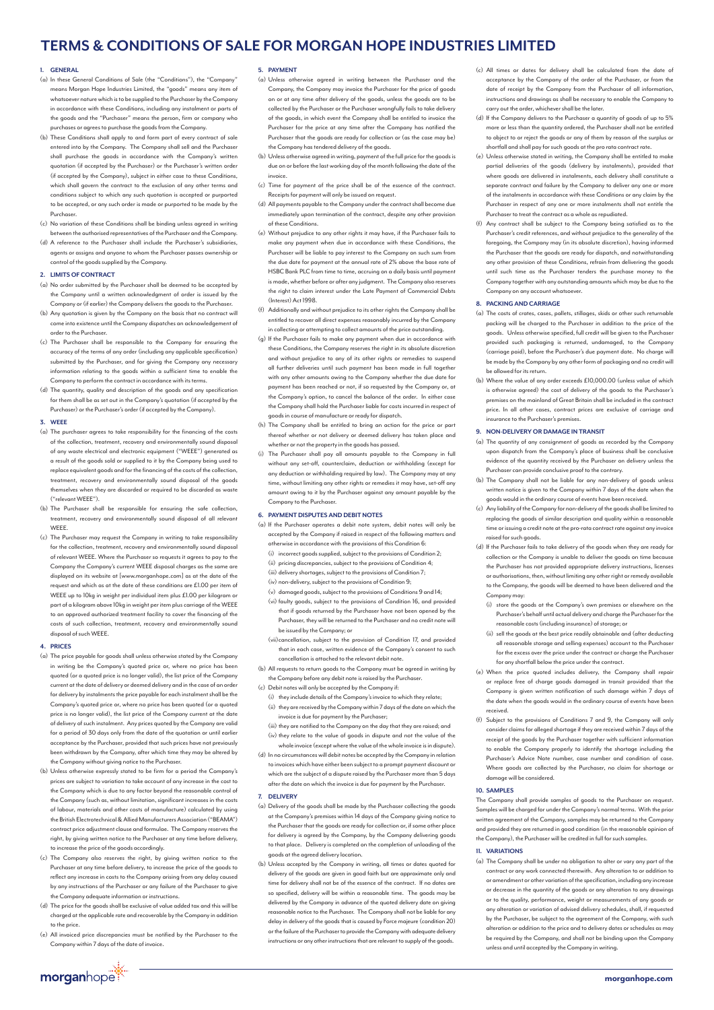# **TERMS & CONDITIONS OF SALE FOR MORGAN HOPE INDUSTRIES LIMITED**

# **1. GENERAL**

- (a) In these General Conditions of Sale (the "Conditions"), the "Company" means Morgan Hope Industries Limited, the "goods" means any item of whatsoever nature which is to be supplied to the Purchaser by the Company in accordance with these Conditions, including any instalment or parts of the goods and the "Purchaser" means the person, firm or company who purchases or agrees to purchase the goods from the Company.
- (b) These Conditions shall apply to and form part of every contract of sale entered into by the Company. The Company shall sell and the Purchaser shall purchase the goods in accordance with the Company's written quotation (if accepted by the Purchaser) or the Purchaser's written order (if accepted by the Company), subject in either case to these Conditions, which shall govern the contract to the exclusion of any other terms and conditions subject to which any such quotation is accepted or purported to be accepted, or any such order is made or purported to be made by the Purchaser.
- (c) No variation of these Conditions shall be binding unless agreed in writing between the authorised representatives of the Purchaser and the Company.
- (d) A reference to the Purchaser shall include the Purchaser's subsidiaries, agents or assigns and anyone to whom the Purchaser passes ownership or control of the goods supplied by the Company.

## **2. LIMITS OF CONTRACT**

- (a) No order submitted by the Purchaser shall be deemed to be accepted by the Company until a written acknowledgment of order is issued by the Company or (if earlier) the Company delivers the goods to the Purchaser.
- (b) Any quotation is given by the Company on the basis that no contract will .<br>ne into existence until the Company dispatches an acknowledgement of order to the Purchaser.
- (c) The Purchaser shall be responsible to the Company for ensuring the accuracy of the terms of any order (including any applicable specification) submitted by the Purchaser, and for giving the Company any necessary information relating to the goods within a sufficient time to enable the Company to perform the contract in accordance with its terms.
- (d) The quantity, quality and description of the goods and any specification for them shall be as set out in the Company's quotation (if accepted by the Purchaser) or the Purchaser's order (if accepted by the Company).

## **3. WEEE**

- (a) The purchaser agrees to take responsibility for the financing of the costs of the collection, treatment, recovery and environmentally sound disposal of any waste electrical and electronic equipment ("WEEE") generated as a result of the goods sold or supplied to it by the Company being used to replace equivalent goods and for the financing of the costs of the collection, treatment, recovery and environmentally sound disposal of the goods themselves when they are discarded or required to be discarded as waste ("relevant WEEE").
- (b) The Purchaser shall be responsible for ensuring the safe collection, nt, recovery and environmentally sound disposal of all relevant **WEEE**
- (c) The Purchaser may request the Company in writing to take responsibility for the collection, treatment, recovery and environmentally sound disposal of relevant WEEE. Where the Purchaser so requests it agrees to pay to the Company the Company's current WEEE disposal charges as the same are displayed on its website at [www.morganhope.com] as at the date of the est and which as at the date of these conditions are £1.00 per item of WEEE up to 10kg in weight per individual item plus £1.00 per kilogram or part of a kilogram above 10kg in weight per item plus carriage of the WEEE to an approved authorized treatment facility to cover the financing of the costs of such collection, treatment, recovery and environmentally sound disposal of such WEEE.

#### **4. PRICES**

- (a) The price payable for goods shall unless otherwise stated by the Company in writing be the Company's quoted price or, where no price has been quoted (or a quoted price is no longer valid), the list price of the Company current at the date of delivery or deemed delivery and in the case of an order for delivery by instalments the price payable for each instalment shall be the Company's quoted price or, where no price has been quoted (or a quoted price is no longer valid), the list price of the Company current at the date of delivery of such instalment. Any prices quoted by the Company are valid for a period of 30 days only from the date of the quotation or until earlier acceptance by the Purchaser, provided that such prices have not previously been withdrawn by the Company, after which time they may be altered by the Company without giving notice to the Purchaser.
- (b) Unless otherwise expressly stated to be firm for a period the Company's prices are subject to variation to take account of any increase in the cost to the Company which is due to any factor beyond the reasonable control of the Company (such as, without limitation, significant increases in the costs of labour, materials and other costs of manufacture) calculated by using the British Electrotechnical & Allied Manufacturers Association ("BEAMA") contract price adjustment clause and formulae. The Company reserves the right, by giving written notice to the Purchaser at any time before delivery, ise the price of the goods accordingly.
- (c) The Company also reserves the right, by giving written notice to the Purchaser at any time before delivery, to increase the price of the goods to reflect any increase in costs to the Company arising from any delay caused by any instructions of the Purchaser or any failure of the Purchaser to give the Company adequate information or instructions.
- (d) The price for the goods shall be exclusive of value added tax and this will be charged at the applicable rate and recoverable by the Company in addition to the price.
- (e) All invoiced price discrepancies must be notified by the Purchaser to the Company within 7 days of the date of invoice.

# **5. PAYMENT**

- (a) Unless otherwise agreed in writing between the Purchaser and the Company, the Company may invoice the Purchaser for the price of goods on or at any time after delivery of the goods, unless the goods are to be collected by the Purchaser or the Purchaser wrongfully fails to take delivery of the goods, in which event the Company shall be entitled to invoice the Purchaser for the price at any time after the Company has notified the Purchaser that the goods are ready for collection or (as the case may be) the Company has tendered delivery of the goods.
- (b) Unless otherwise agreed in writing, payment of the full price for the goods is due on or before the last working day of the month following the date of the invoice.
- (c) Time for payment of the price shall be of the essence of the contract Receipts for payment will only be issued on request.
- (d) All payments payable to the Company under the contract shall become due immediately upon termination of the contract, despite any other provision of these Conditions.
- (e) Without prejudice to any other rights it may have, if the Purchaser fails to make any payment when due in accordance with these Conditions, the Purchaser will be liable to pay interest to the Company on such sum from the due date for payment at the annual rate of 2% above the base rate of HSBC Bank PLC from time to time, accruing on a daily basis until payme is made, whether before or after any judgment. The Company also reserves the right to claim interest under the Late Payment of Commercial Debts (Interest) Act 1998.
- (f) Additionally and without prejudice to its other rights the Company shall be entitled to recover all direct expenses reasonably incurred by the Company in collecting or attempting to collect amounts of the price outstanding.
- (g) If the Purchaser fails to make any payment when due in accordance with these Conditions, the Company reserves the right in its absolute discretion and without prejudice to any of its other rights or remedies to suspend all further deliveries until such payment has been made in full together with any other amounts owing to the Company whether the due date for payment has been reached or not, if so requested by the Company or, at the Company's option, to cancel the balance of the order. In either case the Company shall hold the Purchaser liable for costs incurred in respect of goods in course of manufacture or ready for dispatch.
- (h) The Company shall be entitled to bring an action for the price or part thereof whether or not delivery or deemed delivery has taken place and ether or not the property in the goods has passed.
- (i) The Purchaser shall pay all amounts payable to the Company in full without any set-off, counterclaim, deduction or withholding (except for any deduction or withholding required by law). The Company may at any time, without limiting any other rights or remedies it may have, set-off any amount owing to it by the Purchaser against any amount payable by the Company to the Purchaser.

#### **6. PAYMENT DISPUTES AND DEBIT NOTES**

- (a) If the Purchaser operates a debit note system, debit notes will only be accepted by the Company if raised in respect of the following matters and otherwise in accordance with the provisions of this Condition 6:
	- (i) incorrect goods supplied, subject to the provisions of Condition 2;
	- (ii) pricing discrepancies, subject to the provisions of Condition 4;
	- (iii) delivery shortages, subject to the provisions of Condition 7;
	- (iv) non-delivery, subject to the provisions of Condition 9;
	- (v) damaged goods, subject to the provisions of Conditions 9 and 14; (vi) faulty goods, subject to the provisions of Condition 16, and provided that if goods returned by the Purchaser have not been opened by the Purchaser, they will be returned to the Purchaser and no credit note will be issued by the Company; or
	- (vii) cancellation, subject to the provision of Condition 17, and prov that in each case, written evidence of the Company's consent to such cancellation is attached to the relevant debit note.
- (b) All requests to return goods to the Company must be agreed in writing by the Company before any debit note is raised by the Purchaser.
- (c) Debit notes will only be accepted by the Company if:
	- (i) they include details of the Company's invoice to which they relate; (ii) they are received by the Company within 7 days of the date on which the .<br>voice is due for payment by the Purchaser
	- (iii) they are notified to the Company on the day that they are raised; and
	- (iv) they relate to the value of goods in dispute and not the value of the whole invoice (except where the value of the whole invoice is in dispute).
- (d) In no circumstances will debit notes be accepted by the Company in relation to invoices which have either been subject to a prompt payment discount or which are the subject of a dispute raised by the Purchaser more than 5 days after the date on which the invoice is due for payment by the Purchaser.

#### **7. DELIVERY**

- (a) Delivery of the goods shall be made by the Purchaser collecting the goods at the Company's premises within 14 days of the Company giving notice to the Purchaser that the goods are ready for collection or, if some other place for delivery is agreed by the Company, by the Company delivering good to that place. Delivery is completed on the completion of unloading of the goods at the agreed delivery location.
- (b) Unless accepted by the Company in writing, all times or dates quoted for delivery of the goods are given in good faith but are approximate only and time for delivery shall not be of the essence of the contract. If no dates are so specified, delivery will be within a reasonable time. The goods may be delivered by the Company in advance of the quoted delivery date on giving reasonable notice to the Purchaser. The Company shall not be liable for a delay in delivery of the goods that is caused by Force majeure (condition 20) or the failure of the Purchaser to provide the Company with adequate delivery instructions or any other instructions that are relevant to supply of the goods.
- (c) All times or dates for delivery shall be calculated from the date of acceptance by the Company of the order of the Purchaser, or from the date of receipt by the Company from the Purchaser of all information, instructions and drawings as shall be necessary to enable the Company to carry out the order, whichever shall be the later.
- (d) If the Company delivers to the Purchaser a quantity of goods of up to 5% more or less than the quantity ordered, the Purchaser shall not be entitled to object to or reject the goods or any of them by reason of the surplus or shortfall and shall pay for such goods at the pro rata contract rate.
- (e) Unless otherwise stated in writing, the Company shall be entitled to make partial deliveries of the goods (delivery by instalments), provided that where goods are delivered in instalments, each delivery shall constitute a separate contract and failure by the Company to deliver any one or more of the instalments in accordance with these Conditions or any claim by the Purchaser in respect of any one or more instalments shall not entitle the Purchaser to treat the contract as a whole as repudiated.
- (f) Any contract shall be subject to the Company being satisfied as to the Purchaser's credit references, and without prejudice to the generality of the foregoing, the Company may (in its absolute discretion), having informed the Purchaser that the goods are ready for dispatch, and notwithstanding any other provision of these Conditions, refrain from delivering the goods until such time as the Purchaser tenders the purchase month Company together with any outstanding amounts which may be due to the Company on any account whatsoever.

## **8. PACKING AND CARRIAGE**

- (a) The costs of crates, cases, pallets, stillages, skids or other such returnable packing will be charged to the Purchaser in addition to the price of the goods. Unless otherwise specified, full credit will be given to the Purchaser provided such packaging is returned, undamaged, to the Company (carriage paid), before the Purchaser's due payment date. No charge will be made by the Company by any other form of packaging and no credit will be allowed for its return.
- (b) Where the value of any order exceeds £10,000.00 (unless value of which is otherwise agreed) the cost of delivery of the goods to the Purchaser's premises on the mainland of Great Britain shall be included in the contract price. In all other cases, contract prices are exclusive of carriage and insurance to the Purchaser's premises.

# **9. NON-DELIVERY OR DAMAGE IN TRANSIT**

- (a) The quantity of any consignment of goods as recorded by the Company upon dispatch from the Company's place of business shall be conclu evidence of the quantity received by the Purchaser on delivery unless the Purchaser can provide conclusive proof to the contrary.
- (b) The Company shall not be liable for any non-delivery of goods unless written notice is given to the Company within 7 days of the date when the goods would in the ordinary course of events have been received.
- (c) Any liability of the Company for non-delivery of the goods shall be limited to replacing the goods of similar description and quality within a reasonable time or issuing a credit note at the pro-rata contract rate against any invoice raised for such goods.
- (d) If the Purchaser fails to take delivery of the goods when they are ready for collection or the Company is unable to deliver the goods on time because the Purchaser has not provided appropriate delivery instructions, licenses or authorisations, then, without limiting any other right or remedy available to the Company, the goods will be deemed to have been delivered and the Company may:
	- (i) store the goods at the Company's own premises or elsewhere on the Purchaser's behalf until actual delivery and charge the Purchaser for the reasonable costs (including insurance) of storage; or
	- (ii) sell the goods at the best price readily obtainable and (after deducting all reasonable storage and selling expenses) account to the Purchaser for the excess over the price under the contract or charge the Purchaser for any shortfall below the price under the contract.
- (e) When the price quoted includes delivery, the Company shall repair or replace free of charge goods damaged in transit provided that the Company is given written notification of such damage within 7 days of the date when the goods would in the ordinary course of events have been received.
- (f) Subject to the provisions of Conditions 7 and 9, the Company will only consider claims for alleged shortage if they are received within 7 days of the receipt of the goods by the Purchaser together with sufficient information to enable the Company properly to identify the shortage including the Purchaser's Advice Note number, case number and condition of case. Where goods are collected by the Purchaser, no claim for shortage or damage will be considered.

# **10. SAMPLES**

The Company shall provide samples of goods to the Purchaser on request. Samples will be charged for under the Company's normal terms. With the prior written agreement of the Company, samples may be returned to the Company and provided they are returned in good condition (in the reasonable opinion of the Company), the Purchaser will be credited in full for such samples.

# **11. VARIATIONS**

(a) The Company shall be under no obligation to alter or vary any part of the contract or any work connected therewith. Any alteration to or addition to or amendment or other variation of the specification, including any increase or decrease in the quantity of the goods or any alteration to any drawings or to the quality, performance, weight or measurements of any goods or any alteration or variation of advised delivery schedules, shall, if requested by the Purchaser, be subject to the agreement of the Company, with such alteration or addition to the price and to delivery dates or schedules as may be required by the Company, and shall not be binding upon the Company unless and until accepted by the Company in writing.